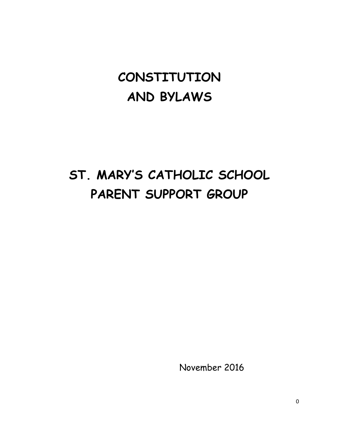## **CONSTITUTION AND BYLAWS**

# **ST. MARY'S CATHOLIC SCHOOL PARENT SUPPORT GROUP**

November 2016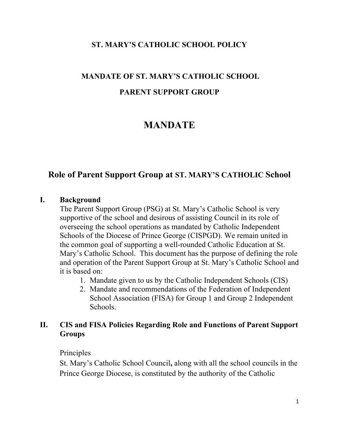#### **ST. MARY'S CATHOLIC SCHOOL POLICY**

## **MANDATE OF ST. MARY'S CATHOLIC SCHOOL PARENT SUPPORT GROUP**

## **MANDATE**

## **Role of Parent Support Group at ST. MARY'S CATHOLIC School**

#### **I. Background**

The Parent Support Group (PSG) at St. Mary's Catholic School is very supportive of the school and desirous of assisting Council in its role of overseeing the school operations as mandated by Catholic Independent Schools of the Diocese of Prince George (CISPGD). We remain united in the common goal of supporting a well-rounded Catholic Education at St. Mary's Catholic School. This document has the purpose of defining the role and operation of the Parent Support Group at St. Mary's Catholic School and it is based on:

- 1. Mandate given to us by the Catholic Independent Schools (CIS)
- 2. Mandate and recommendations of the Federation of Independent School Association (FISA) for Group 1 and Group 2 Independent Schools.

#### **II. CIS and FISA Policies Regarding Role and Functions of Parent Support Groups**

#### Principles

St. Mary's Catholic School Council**,** along with all the school councils in the Prince George Diocese, is constituted by the authority of the Catholic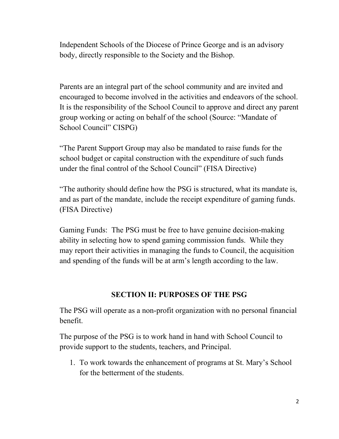Independent Schools of the Diocese of Prince George and is an advisory body, directly responsible to the Society and the Bishop.

Parents are an integral part of the school community and are invited and encouraged to become involved in the activities and endeavors of the school. It is the responsibility of the School Council to approve and direct any parent group working or acting on behalf of the school (Source: "Mandate of School Council" CISPG)

"The Parent Support Group may also be mandated to raise funds for the school budget or capital construction with the expenditure of such funds under the final control of the School Council" (FISA Directive)

"The authority should define how the PSG is structured, what its mandate is, and as part of the mandate, include the receipt expenditure of gaming funds. (FISA Directive)

Gaming Funds: The PSG must be free to have genuine decision-making ability in selecting how to spend gaming commission funds. While they may report their activities in managing the funds to Council, the acquisition and spending of the funds will be at arm's length according to the law.

## **SECTION II: PURPOSES OF THE PSG**

The PSG will operate as a non-profit organization with no personal financial benefit.

The purpose of the PSG is to work hand in hand with School Council to provide support to the students, teachers, and Principal.

1. To work towards the enhancement of programs at St. Mary's School for the betterment of the students.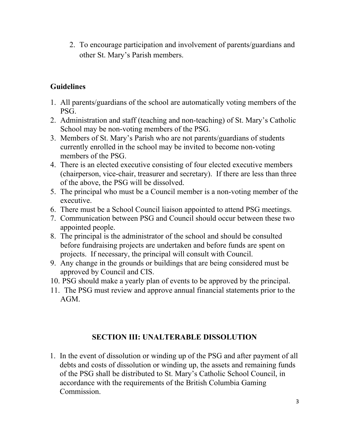2. To encourage participation and involvement of parents/guardians and other St. Mary's Parish members.

## **Guidelines**

- 1. All parents/guardians of the school are automatically voting members of the PSG.
- 2. Administration and staff (teaching and non-teaching) of St. Mary's Catholic School may be non-voting members of the PSG.
- 3. Members of St. Mary's Parish who are not parents/guardians of students currently enrolled in the school may be invited to become non-voting members of the PSG.
- 4. There is an elected executive consisting of four elected executive members (chairperson, vice-chair, treasurer and secretary). If there are less than three of the above, the PSG will be dissolved.
- 5. The principal who must be a Council member is a non-voting member of the executive.
- 6. There must be a School Council liaison appointed to attend PSG meetings.
- 7. Communication between PSG and Council should occur between these two appointed people.
- 8. The principal is the administrator of the school and should be consulted before fundraising projects are undertaken and before funds are spent on projects. If necessary, the principal will consult with Council.
- 9. Any change in the grounds or buildings that are being considered must be approved by Council and CIS.
- 10. PSG should make a yearly plan of events to be approved by the principal.
- 11. The PSG must review and approve annual financial statements prior to the AGM.

#### **SECTION III: UNALTERABLE DISSOLUTION**

1. In the event of dissolution or winding up of the PSG and after payment of all debts and costs of dissolution or winding up, the assets and remaining funds of the PSG shall be distributed to St. Mary's Catholic School Council, in accordance with the requirements of the British Columbia Gaming Commission.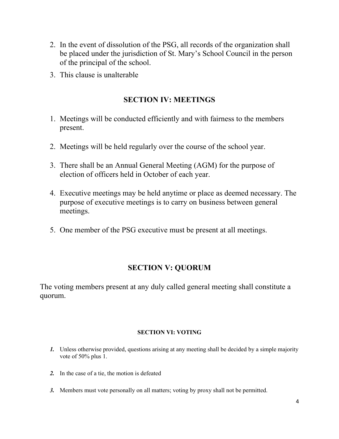- 2. In the event of dissolution of the PSG, all records of the organization shall be placed under the jurisdiction of St. Mary's School Council in the person of the principal of the school.
- 3. This clause is unalterable

#### **SECTION IV: MEETINGS**

- 1. Meetings will be conducted efficiently and with fairness to the members present.
- 2. Meetings will be held regularly over the course of the school year.
- 3. There shall be an Annual General Meeting (AGM) for the purpose of election of officers held in October of each year.
- 4. Executive meetings may be held anytime or place as deemed necessary. The purpose of executive meetings is to carry on business between general meetings.
- 5. One member of the PSG executive must be present at all meetings.

## **SECTION V: QUORUM**

The voting members present at any duly called general meeting shall constitute a quorum.

#### **SECTION VI: VOTING**

- *1.* Unless otherwise provided, questions arising at any meeting shall be decided by a simple majority vote of 50% plus 1.
- *2.* In the case of a tie, the motion is defeated
- *3.* Members must vote personally on all matters; voting by proxy shall not be permitted.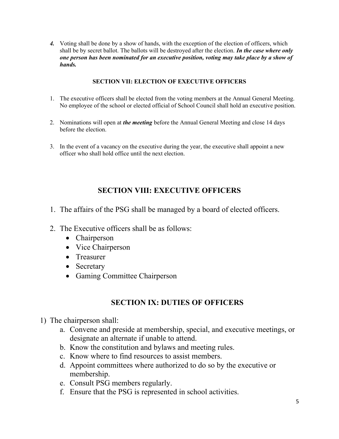*4.* Voting shall be done by a show of hands, with the exception of the election of officers, which shall be by secret ballot. The ballots will be destroyed after the election. *In the case where only one person has been nominated for an executive position, voting may take place by a show of hands.*

#### **SECTION VII: ELECTION OF EXECUTIVE OFFICERS**

- 1. The executive officers shall be elected from the voting members at the Annual General Meeting. No employee of the school or elected official of School Council shall hold an executive position.
- 2. Nominations will open at *the meeting* before the Annual General Meeting and close 14 days before the election.
- 3. In the event of a vacancy on the executive during the year, the executive shall appoint a new officer who shall hold office until the next election.

#### **SECTION VIII: EXECUTIVE OFFICERS**

- 1. The affairs of the PSG shall be managed by a board of elected officers.
- 2. The Executive officers shall be as follows:
	- Chairperson
	- Vice Chairperson
	- Treasurer
	- Secretary
	- Gaming Committee Chairperson

#### **SECTION IX: DUTIES OF OFFICERS**

- 1) The chairperson shall:
	- a. Convene and preside at membership, special, and executive meetings, or designate an alternate if unable to attend.
	- b. Know the constitution and bylaws and meeting rules.
	- c. Know where to find resources to assist members.
	- d. Appoint committees where authorized to do so by the executive or membership.
	- e. Consult PSG members regularly.
	- f. Ensure that the PSG is represented in school activities.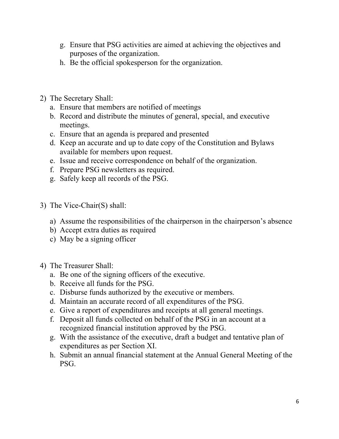- g. Ensure that PSG activities are aimed at achieving the objectives and purposes of the organization.
- h. Be the official spokesperson for the organization.
- 2) The Secretary Shall:
	- a. Ensure that members are notified of meetings
	- b. Record and distribute the minutes of general, special, and executive meetings.
	- c. Ensure that an agenda is prepared and presented
	- d. Keep an accurate and up to date copy of the Constitution and Bylaws available for members upon request.
	- e. Issue and receive correspondence on behalf of the organization.
	- f. Prepare PSG newsletters as required.
	- g. Safely keep all records of the PSG.
- 3) The Vice-Chair(S) shall:
	- a) Assume the responsibilities of the chairperson in the chairperson's absence
	- b) Accept extra duties as required
	- c) May be a signing officer
- 4) The Treasurer Shall:
	- a. Be one of the signing officers of the executive.
	- b. Receive all funds for the PSG.
	- c. Disburse funds authorized by the executive or members.
	- d. Maintain an accurate record of all expenditures of the PSG.
	- e. Give a report of expenditures and receipts at all general meetings.
	- f. Deposit all funds collected on behalf of the PSG in an account at a recognized financial institution approved by the PSG.
	- g. With the assistance of the executive, draft a budget and tentative plan of expenditures as per Section XI.
	- h. Submit an annual financial statement at the Annual General Meeting of the PSG.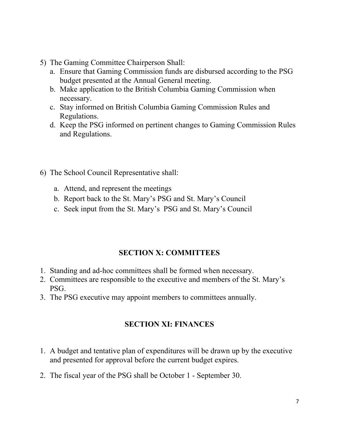- 5) The Gaming Committee Chairperson Shall:
	- a. Ensure that Gaming Commission funds are disbursed according to the PSG budget presented at the Annual General meeting.
	- b. Make application to the British Columbia Gaming Commission when necessary.
	- c. Stay informed on British Columbia Gaming Commission Rules and Regulations.
	- d. Keep the PSG informed on pertinent changes to Gaming Commission Rules and Regulations.
- 6) The School Council Representative shall:
	- a. Attend, and represent the meetings
	- b. Report back to the St. Mary's PSG and St. Mary's Council
	- c. Seek input from the St. Mary's PSG and St. Mary's Council

## **SECTION X: COMMITTEES**

- 1. Standing and ad-hoc committees shall be formed when necessary.
- 2. Committees are responsible to the executive and members of the St. Mary's PSG.
- 3. The PSG executive may appoint members to committees annually.

## **SECTION XI: FINANCES**

- 1. A budget and tentative plan of expenditures will be drawn up by the executive and presented for approval before the current budget expires.
- 2. The fiscal year of the PSG shall be October 1 September 30.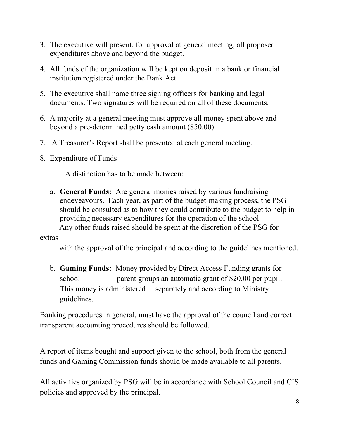- 3. The executive will present, for approval at general meeting, all proposed expenditures above and beyond the budget.
- 4. All funds of the organization will be kept on deposit in a bank or financial institution registered under the Bank Act.
- 5. The executive shall name three signing officers for banking and legal documents. Two signatures will be required on all of these documents.
- 6. A majority at a general meeting must approve all money spent above and beyond a pre-determined petty cash amount (\$50.00)
- 7. A Treasurer's Report shall be presented at each general meeting.
- 8. Expenditure of Funds

A distinction has to be made between:

a. **General Funds:** Are general monies raised by various fundraising endeveavours. Each year, as part of the budget-making process, the PSG should be consulted as to how they could contribute to the budget to help in providing necessary expenditures for the operation of the school. Any other funds raised should be spent at the discretion of the PSG for

extras

with the approval of the principal and according to the guidelines mentioned.

b. **Gaming Funds:** Money provided by Direct Access Funding grants for school parent groups an automatic grant of \$20.00 per pupil. This money is administered separately and according to Ministry guidelines.

Banking procedures in general, must have the approval of the council and correct transparent accounting procedures should be followed.

A report of items bought and support given to the school, both from the general funds and Gaming Commission funds should be made available to all parents.

All activities organized by PSG will be in accordance with School Council and CIS policies and approved by the principal.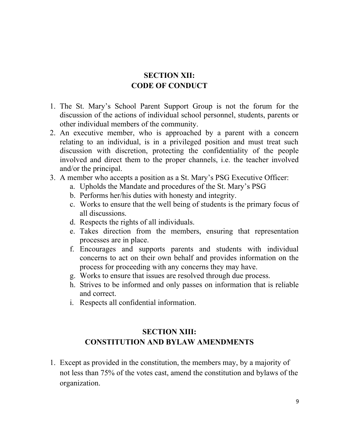### **SECTION XII: CODE OF CONDUCT**

- 1. The St. Mary's School Parent Support Group is not the forum for the discussion of the actions of individual school personnel, students, parents or other individual members of the community.
- 2. An executive member, who is approached by a parent with a concern relating to an individual, is in a privileged position and must treat such discussion with discretion, protecting the confidentiality of the people involved and direct them to the proper channels, i.e. the teacher involved and/or the principal.
- 3. A member who accepts a position as a St. Mary's PSG Executive Officer:
	- a. Upholds the Mandate and procedures of the St. Mary's PSG
	- b. Performs her/his duties with honesty and integrity.
	- c. Works to ensure that the well being of students is the primary focus of all discussions.
	- d. Respects the rights of all individuals.
	- e. Takes direction from the members, ensuring that representation processes are in place.
	- f. Encourages and supports parents and students with individual concerns to act on their own behalf and provides information on the process for proceeding with any concerns they may have.
	- g. Works to ensure that issues are resolved through due process.
	- h. Strives to be informed and only passes on information that is reliable and correct.
	- i. Respects all confidential information.

## **SECTION XIII: CONSTITUTION AND BYLAW AMENDMENTS**

1. Except as provided in the constitution, the members may, by a majority of not less than 75% of the votes cast, amend the constitution and bylaws of the organization.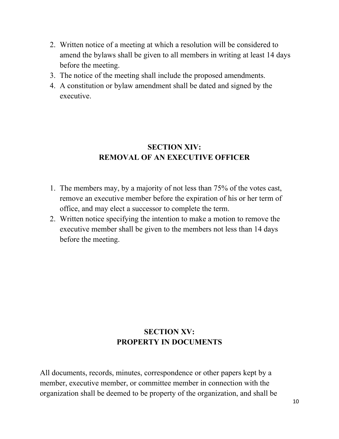- 2. Written notice of a meeting at which a resolution will be considered to amend the bylaws shall be given to all members in writing at least 14 days before the meeting.
- 3. The notice of the meeting shall include the proposed amendments.
- 4. A constitution or bylaw amendment shall be dated and signed by the executive.

## **SECTION XIV: REMOVAL OF AN EXECUTIVE OFFICER**

- 1. The members may, by a majority of not less than 75% of the votes cast, remove an executive member before the expiration of his or her term of office, and may elect a successor to complete the term.
- 2. Written notice specifying the intention to make a motion to remove the executive member shall be given to the members not less than 14 days before the meeting.

## **SECTION XV: PROPERTY IN DOCUMENTS**

All documents, records, minutes, correspondence or other papers kept by a member, executive member, or committee member in connection with the organization shall be deemed to be property of the organization, and shall be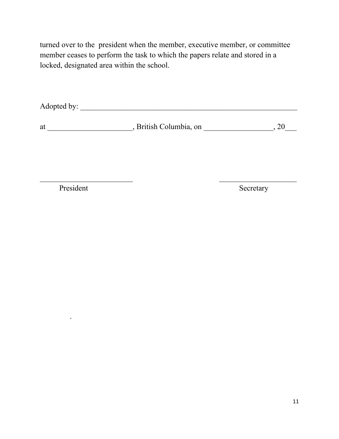turned over to the president when the member, executive member, or committee member ceases to perform the task to which the papers relate and stored in a locked, designated area within the school.

Adopted by: \_\_\_\_\_\_\_\_\_\_\_\_\_\_\_\_\_\_\_\_\_\_\_\_\_\_\_\_\_\_\_\_\_\_\_\_\_\_\_\_\_\_\_\_\_\_\_\_\_\_\_\_\_\_\_\_

at \_\_\_\_\_\_\_\_\_\_\_\_\_\_\_\_\_\_\_\_\_\_, British Columbia, on \_\_\_\_\_\_\_\_\_\_\_\_\_\_\_\_\_\_\_, 20\_\_\_\_

 $\mathcal{L}_\text{max}$  , and the contract of the contract of the contract of the contract of the contract of the contract of the contract of the contract of the contract of the contract of the contract of the contract of the contr

President Secretary

.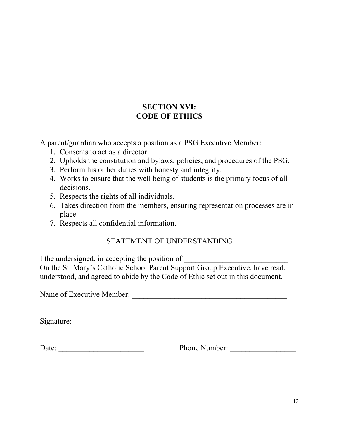A parent/guardian who accepts a position as a PSG Executive Member:

- 1. Consents to act as a director.
- 2. Upholds the constitution and bylaws, policies, and procedures of the PSG.
- 3. Perform his or her duties with honesty and integrity.
- 4. Works to ensure that the well being of students is the primary focus of all decisions.
- 5. Respects the rights of all individuals.
- 6. Takes direction from the members, ensuring representation processes are in place
- 7. Respects all confidential information.

#### STATEMENT OF UNDERSTANDING

I the undersigned, in accepting the position of

On the St. Mary's Catholic School Parent Support Group Executive, have read, understood, and agreed to abide by the Code of Ethic set out in this document.

Name of Executive Member: \_\_\_\_\_\_\_\_\_\_\_\_\_\_\_\_\_\_\_\_\_\_\_\_\_\_\_\_\_\_\_\_\_\_\_\_\_\_\_\_

Signature: \_\_\_\_\_\_\_\_\_\_\_\_\_\_\_\_\_\_\_\_\_\_\_\_\_\_\_\_\_\_\_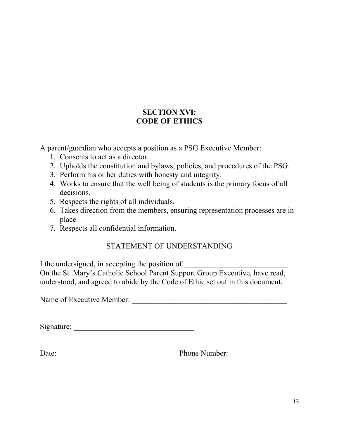A parent/guardian who accepts a position as a PSG Executive Member:

- 1. Consents to act as a director.
- 2. Upholds the constitution and bylaws, policies, and procedures of the PSG.
- 3. Perform his or her duties with honesty and integrity.
- 4. Works to ensure that the well being of students is the primary focus of all decisions.
- 5. Respects the rights of all individuals.
- 6. Takes direction from the members, ensuring representation processes are in place
- 7. Respects all confidential information.

## STATEMENT OF UNDERSTANDING

I the undersigned, in accepting the position of

On the St. Mary's Catholic School Parent Support Group Executive, have read, understood, and agreed to abide by the Code of Ethic set out in this document.

Name of Executive Member:

Signature: \_\_\_\_\_\_\_\_\_\_\_\_\_\_\_\_\_\_\_\_\_\_\_\_\_\_\_\_\_\_\_

| Date: |  |  |  |  |  |  |  |
|-------|--|--|--|--|--|--|--|
|       |  |  |  |  |  |  |  |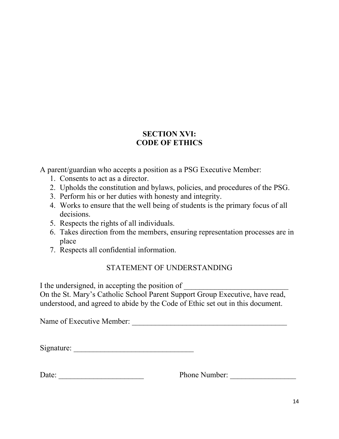A parent/guardian who accepts a position as a PSG Executive Member:

- 1. Consents to act as a director.
- 2. Upholds the constitution and bylaws, policies, and procedures of the PSG.
- 3. Perform his or her duties with honesty and integrity.
- 4. Works to ensure that the well being of students is the primary focus of all decisions.
- 5. Respects the rights of all individuals.
- 6. Takes direction from the members, ensuring representation processes are in place
- 7. Respects all confidential information.

## STATEMENT OF UNDERSTANDING

I the undersigned, in accepting the position of On the St. Mary's Catholic School Parent Support Group Executive, have read, understood, and agreed to abide by the Code of Ethic set out in this document.

Name of Executive Member: